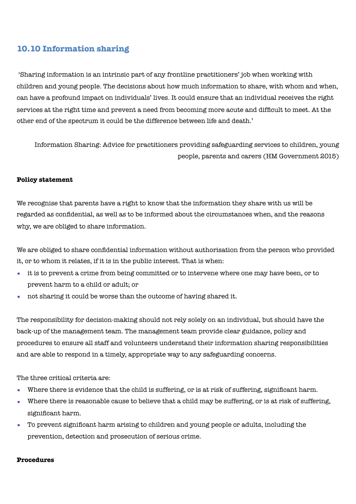# **10.10 Information sharing**

 'Sharing information is an intrinsic part of any frontline practitioners' job when working with children and young people. The decisions about how much information to share, with whom and when, can have a profound impact on individuals' lives. It could ensure that an individual receives the right services at the right time and prevent a need from becoming more acute and difficult to meet. At the other end of the spectrum it could be the difference between life and death.'

Information Sharing: Advice for practitioners providing safeguarding services to children, young people, parents and carers (HM Government 2015)

#### **Policy statement**

We recognise that parents have a right to know that the information they share with us will be regarded as confidential, as well as to be informed about the circumstances when, and the reasons why, we are obliged to share information.

We are obliged to share confidential information without authorisation from the person who provided it, or to whom it relates, if it is in the public interest. That is when:

- it is to prevent a crime from being committed or to intervene where one may have been, or to prevent harm to a child or adult; or
- not sharing it could be worse than the outcome of having shared it.

The responsibility for decision-making should not rely solely on an individual, but should have the back-up of the management team. The management team provide clear guidance, policy and procedures to ensure all staff and volunteers understand their information sharing responsibilities and are able to respond in a timely, appropriate way to any safeguarding concerns.

The three critical criteria are:

- Where there is evidence that the child is suffering, or is at risk of suffering, significant harm.
- Where there is reasonable cause to believe that a child may be suffering, or is at risk of suffering, significant harm.
- To prevent significant harm arising to children and young people or adults, including the prevention, detection and prosecution of serious crime.

#### **Procedures**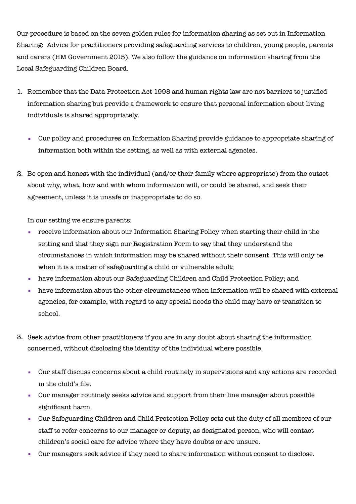Our procedure is based on the seven golden rules for information sharing as set out in Information Sharing: Advice for practitioners providing safeguarding services to children, young people, parents and carers (HM Government 2015). We also follow the guidance on information sharing from the Local Safeguarding Children Board.

- 1. Remember that the Data Protection Act 1998 and human rights law are not barriers to justified information sharing but provide a framework to ensure that personal information about living individuals is shared appropriately.
	- Our policy and procedures on Information Sharing provide guidance to appropriate sharing of information both within the setting, as well as with external agencies.
- 2. Be open and honest with the individual (and/or their family where appropriate) from the outset about why, what, how and with whom information will, or could be shared, and seek their agreement, unless it is unsafe or inappropriate to do so.

In our setting we ensure parents:

- receive information about our Information Sharing Policy when starting their child in the setting and that they sign our Registration Form to say that they understand the circumstances in which information may be shared without their consent. This will only be when it is a matter of safeguarding a child or vulnerable adult;
- have information about our Safeguarding Children and Child Protection Policy; and
- have information about the other circumstances when information will be shared with external agencies, for example, with regard to any special needs the child may have or transition to school.
- 3. Seek advice from other practitioners if you are in any doubt about sharing the information concerned, without disclosing the identity of the individual where possible.
	- Our staff discuss concerns about a child routinely in supervisions and any actions are recorded in the child's file.
	- Our manager routinely seeks advice and support from their line manager about possible significant harm.
	- Our Safeguarding Children and Child Protection Policy sets out the duty of all members of our staff to refer concerns to our manager or deputy, as designated person, who will contact children's social care for advice where they have doubts or are unsure.
	- Our managers seek advice if they need to share information without consent to disclose.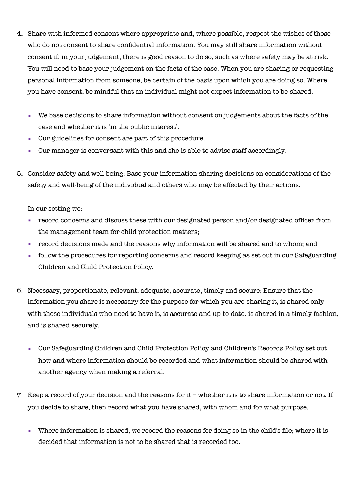- 4. Share with informed consent where appropriate and, where possible, respect the wishes of those who do not consent to share confidential information. You may still share information without consent if, in your judgement, there is good reason to do so, such as where safety may be at risk. You will need to base your judgement on the facts of the case. When you are sharing or requesting personal information from someone, be certain of the basis upon which you are doing so. Where you have consent, be mindful that an individual might not expect information to be shared.
	- We base decisions to share information without consent on judgements about the facts of the case and whether it is 'in the public interest'.
	- Our guidelines for consent are part of this procedure.
	- Our manager is conversant with this and she is able to advise staff accordingly.
- 5. Consider safety and well-being: Base your information sharing decisions on considerations of the safety and well-being of the individual and others who may be affected by their actions.

In our setting we:

- record concerns and discuss these with our designated person and/or designated officer from the management team for child protection matters;
- record decisions made and the reasons why information will be shared and to whom; and
- follow the procedures for reporting concerns and record keeping as set out in our Safeguarding Children and Child Protection Policy.
- 6. Necessary, proportionate, relevant, adequate, accurate, timely and secure: Ensure that the information you share is necessary for the purpose for which you are sharing it, is shared only with those individuals who need to have it, is accurate and up-to-date, is shared in a timely fashion, and is shared securely.
	- Our Safeguarding Children and Child Protection Policy and Children's Records Policy set out how and where information should be recorded and what information should be shared with another agency when making a referral.
- 7. Keep a record of your decision and the reasons for it whether it is to share information or not. If you decide to share, then record what you have shared, with whom and for what purpose.
	- Where information is shared, we record the reasons for doing so in the child's file; where it is decided that information is not to be shared that is recorded too.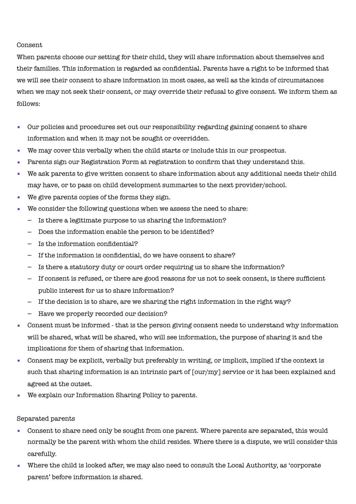#### Consent

When parents choose our setting for their child, they will share information about themselves and their families. This information is regarded as confidential. Parents have a right to be informed that we will see their consent to share information in most cases, as well as the kinds of circumstances when we may not seek their consent, or may override their refusal to give consent. We inform them as follows:

- Our policies and procedures set out our responsibility regarding gaining consent to share information and when it may not be sought or overridden.
- We may cover this verbally when the child starts or include this in our prospectus.
- **Parents sign our Registration Form at registration to confirm that they understand this.**
- We ask parents to give written consent to share information about any additional needs their child may have, or to pass on child development summaries to the next provider/school.
- We give parents copies of the forms they sign.
- We consider the following questions when we assess the need to share:
	- Is there a legitimate purpose to us sharing the information?
	- Does the information enable the person to be identified?
	- Is the information confidential?
	- If the information is confidential, do we have consent to share?
	- Is there a statutory duty or court order requiring us to share the information?
	- If consent is refused, or there are good reasons for us not to seek consent, is there sufficient public interest for us to share information?
	- If the decision is to share, are we sharing the right information in the right way?
	- Have we properly recorded our decision?
- Consent must be informed that is the person giving consent needs to understand why information will be shared, what will be shared, who will see information, the purpose of sharing it and the implications for them of sharing that information.
- Consent may be explicit, verbally but preferably in writing, or implicit, implied if the context is such that sharing information is an intrinsic part of [our/my] service or it has been explained and agreed at the outset.
- We explain our Information Sharing Policy to parents.

Separated parents

- Consent to share need only be sought from one parent. Where parents are separated, this would normally be the parent with whom the child resides. Where there is a dispute, we will consider this carefully.
- Where the child is looked after, we may also need to consult the Local Authority, as 'corporate parent' before information is shared.